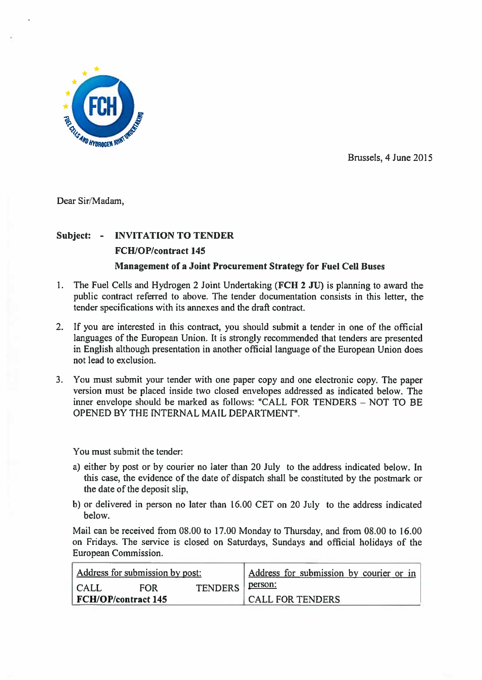

Brussels, 4 June 2015

Dear Sir/Madam,

## Subject: - INVITATION TO TENDER FCH/OP/contract 145 Management of <sup>a</sup> Joint Procurement Strategy for Fuel Cell Buses

- 1. The Fuel Cells and Hydrogen <sup>2</sup> Joint Undertaking (FCH <sup>2</sup> JU) is <sup>p</sup>lanning to award the public contract referred to above. The tender documentation consists in this letter, the tender specifications with its annexes and the draft contract.
- 2. If you are interested in this contract, you should submit <sup>a</sup> tender in one of the official languages of the European Union. It is strongly recommended that tenders are presented in English although presentation in another official language of the European Union does not lead to exclusion.
- 3. You must submit your tender with one paper copy and one electronic copy. The paper version must be placed inside two closed envelopes addressed as indicated below. The inner envelope should be marked as follows: CALL FOR TENDERS — NOT TO BE OPENED BY THE INTERNAL MAIL DEPARTMENT".

You must submit the tender:

- a) either by pos<sup>t</sup> or by courier no later than 20 July to the address indicated below. In this case, the evidence of the date of dispatch shall be constituted by the postmark or the date of the deposit slip,
- b) or delivered in person no later than 16.00 CET on 20 July to the address indicated below.

Mail can be received from 08.00 to 17.00 Monday to Thursday, and from 08.00 to 16.00 on Fridays. The service is closed on Saturdays, Sundays and official holidays of the European Commission.

| Address for submission by post: |            |                        | Address for submission by courier or in |
|---------------------------------|------------|------------------------|-----------------------------------------|
| CALL                            | <b>FOR</b> | TENDERS <u>Person:</u> |                                         |
| FCH/OP/contract 145             |            |                        | CALL FOR TENDERS                        |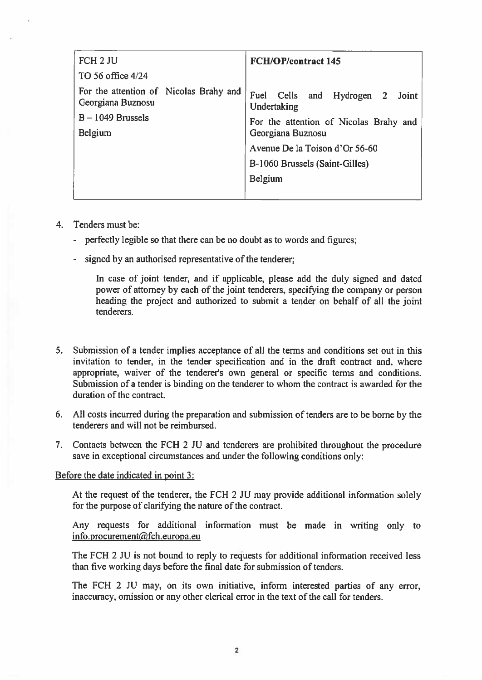| FCH <sub>2</sub> JU                                         | <b>FCH/OP/contract 145</b>                        |
|-------------------------------------------------------------|---------------------------------------------------|
| TO 56 office 4/24                                           |                                                   |
| For the attention of Nicolas Brahy and<br>Georgiana Buznosu | Fuel<br>Cells and Hydrogen 2 Joint<br>Undertaking |
| $B - 1049$ Brussels                                         | For the attention of Nicolas Brahy and            |
| Belgium                                                     | Georgiana Buznosu                                 |
|                                                             | Avenue De la Toison d'Or 56-60                    |
|                                                             | B-1060 Brussels (Saint-Gilles)                    |
|                                                             | <b>Belgium</b>                                    |
|                                                             |                                                   |

- 4. Tenders must be:
	- perfectly legible so that there can be no doubt as to words and figures;
	- signed by an authorised representative of the tenderer;

In case of joint tender, and if applicable, please add the duly signed and dated power of attorney by each of the joint tenderers, specifying the company or person heading the project and authorized to submit <sup>a</sup> tender on behalf of all the joint tenderers.

- 5. Submission of <sup>a</sup> tender implies acceptance of all the terms and conditions set out in this invitation to tender, in the tender specification and in the draft contract and, where appropriate, waiver of the tenderer's own general or specific terms and conditions. Submission of <sup>a</sup> tender is binding on the tenderer to whom the contract is awarded for the duration of the contract.
- 6. All costs incurred during the preparation and submission of tenders are to be borne by the tenderers and will not be reimbursed.
- 7. Contacts between the FCH 2 JU and tenderers are prohibited throughout the procedure save in exceptional circumstances and under the following conditions only:

## Before the date indicated in point 3:

At the reques<sup>t</sup> of the tenderer, the FCH <sup>2</sup> JU may provide additional information solely for the purpose of clarifying the nature of the contract.

Any requests for additional information must be made in writing only to info.procurement@fch.europa.eu

The FCH 2 JU is not bound to reply to requests for additional information received less than five working days before the final date for submission of tenders.

The FCH 2 JU may, on its own initiative, inform interested parties of any error, inaccuracy, omission or any other clerical error in the text of the call for tenders.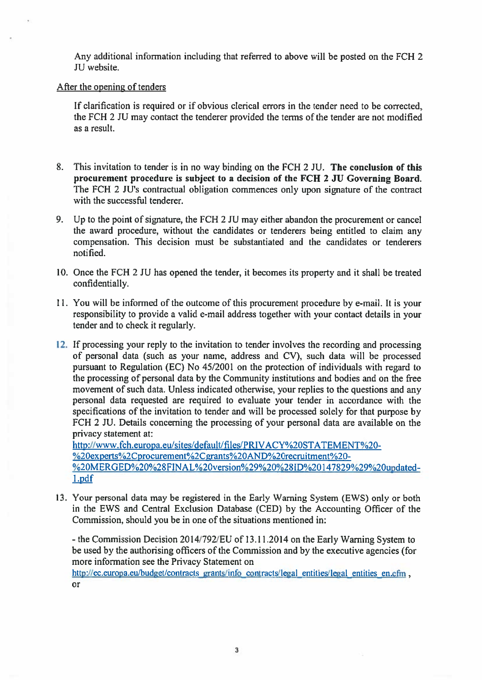Any additional information including that referred to above will be posted on the FCK 2 JU website.

## After the opening of tenders

If clarification is required or if obvious clerical errors in the tender need to be corrected, the FCH 2 JU may contact the tenderer provided the terms of the tender are not modified as <sup>a</sup> result.

- 8. This invitation to tender is in no way binding on the FCH 2 JU. The conclusion of this procuremen<sup>t</sup> procedure is subject to <sup>a</sup> decision of the FCH 2 JU Governing Board. The FCH 2 JU's contractual obligation commences only upon signature of the contract with the successful tenderer.
- 9. Up to the point of signature, the FCH 2 JU may either abandon the procuremen<sup>t</sup> or cancel the award procedure, without the candidates or tenderers being entitled to claim any compensation. This decision must be substantiated and the candidates or tenderers notified.
- 10. Once the FCH 2 JU has opened the tender, it becomes its property and it shall be treated confidentially.
- 11. You will be informed of the outcome of this procuremen<sup>t</sup> procedure by e-mail. It is your responsibility to provide <sup>a</sup> valid e-mail address together with your contact details in your tender and to check it regularly.
- 12. If processing your reply to the invitation to tender involves the recording and processing of personal data (such as your name, address and CV), such data will be processed pursuant to Regulation (EC) No 45/2001 on the protection of individuals with regard to the processing of personal data by the Community institutions and bodies and on the free movement of such data. Unless indicated otherwise, your replies to the questions and any personal data requested are required to evaluate your tender in accordance with the specifications of the invitation to tender and will be processe<sup>d</sup> solely for that purpose by FCH 2 JU. Details concerning the processing of your personal data are available on the privacy statement at:

http://www.fch.europa.eu/sites/default/files/PRIVACY%20STATEMENT%20-%20experts%2Cprocurement%2Cgrants%20AND%20recruitment%20-%20MERGED%20%28FINAL%20version%29%20%28ID%20147829%29%20updatedl.pdf

13. Your personal data may be registered in the Early Warning System (EWS) only or both in the EWS and Central Exclusion Database (CED) by the Accounting Officer of the Commission, should you be in one of the situations mentioned in:

- the Commission Decision 2014/792/EU of 13.11.2014 on the Early Warning System to be used by the authorising officers of the Commission and by the executive agencies (for more information see the Privacy Statement on

http://ec.europa.eu/budget/contracts grants/info contracts/legal entities/legal entities en.cfm, or